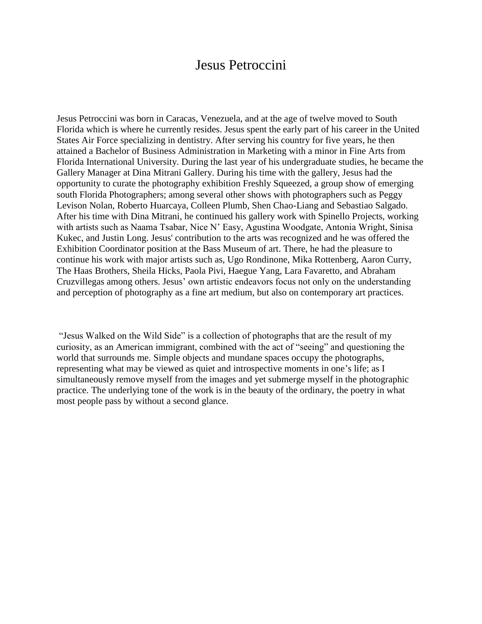## Jesus Petroccini

Jesus Petroccini was born in Caracas, Venezuela, and at the age of twelve moved to South Florida which is where he currently resides. Jesus spent the early part of his career in the United States Air Force specializing in dentistry. After serving his country for five years, he then attained a Bachelor of Business Administration in Marketing with a minor in Fine Arts from Florida International University. During the last year of his undergraduate studies, he became the Gallery Manager at Dina Mitrani Gallery. During his time with the gallery, Jesus had the opportunity to curate the photography exhibition Freshly Squeezed, a group show of emerging south Florida Photographers; among several other shows with photographers such as Peggy Levison Nolan, Roberto Huarcaya, Colleen Plumb, Shen Chao-Liang and Sebastiao Salgado. After his time with Dina Mitrani, he continued his gallery work with Spinello Projects, working with artists such as Naama Tsabar, Nice N' Easy, Agustina Woodgate, Antonia Wright, Sinisa Kukec, and Justin Long. Jesus' contribution to the arts was recognized and he was offered the Exhibition Coordinator position at the Bass Museum of art. There, he had the pleasure to continue his work with major artists such as, Ugo Rondinone, Mika Rottenberg, Aaron Curry, The Haas Brothers, Sheila Hicks, Paola Pivi, Haegue Yang, Lara Favaretto, and Abraham Cruzvillegas among others. Jesus' own artistic endeavors focus not only on the understanding and perception of photography as a fine art medium, but also on contemporary art practices.

"Jesus Walked on the Wild Side" is a collection of photographs that are the result of my curiosity, as an American immigrant, combined with the act of "seeing" and questioning the world that surrounds me. Simple objects and mundane spaces occupy the photographs, representing what may be viewed as quiet and introspective moments in one's life; as I simultaneously remove myself from the images and yet submerge myself in the photographic practice. The underlying tone of the work is in the beauty of the ordinary, the poetry in what most people pass by without a second glance.